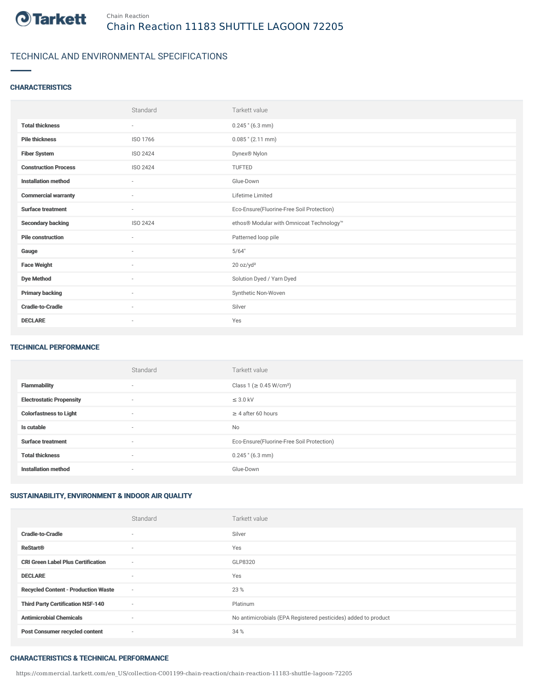

# TECHNICAL AND ENVIRONMENTAL SPECIFICATIONS

### **CHARACTERISTICS**

|                             | Standard                 | Tarkett value                             |
|-----------------------------|--------------------------|-------------------------------------------|
| <b>Total thickness</b>      | $\sim$                   | $0.245$ " (6.3 mm)                        |
| <b>Pile thickness</b>       | ISO 1766                 | $0.085$ " (2.11 mm)                       |
| <b>Fiber System</b>         | ISO 2424                 | Dynex® Nylon                              |
| <b>Construction Process</b> | ISO 2424                 | TUFTED                                    |
| <b>Installation method</b>  | $\sim$                   | Glue-Down                                 |
| <b>Commercial warranty</b>  | $\sim$                   | Lifetime Limited                          |
| <b>Surface treatment</b>    | $\sim$                   | Eco-Ensure(Fluorine-Free Soil Protection) |
| <b>Secondary backing</b>    | ISO 2424                 | ethos® Modular with Omnicoat Technology™  |
| <b>Pile construction</b>    | $\sim$                   | Patterned loop pile                       |
| Gauge                       | $\sim$                   | 5/64"                                     |
| <b>Face Weight</b>          | $\overline{\phantom{a}}$ | 20 oz/yd <sup>2</sup>                     |
| <b>Dye Method</b>           | $\sim$                   | Solution Dyed / Yarn Dyed                 |
| <b>Primary backing</b>      | $\sim$                   | Synthetic Non-Woven                       |
| <b>Cradle-to-Cradle</b>     | ٠                        | Silver                                    |
| <b>DECLARE</b>              | $\sim$                   | Yes                                       |

#### TECHNICAL PERFORMANCE

|                                 | Standard                 | Tarkett value                             |
|---------------------------------|--------------------------|-------------------------------------------|
| <b>Flammability</b>             | $\overline{\phantom{a}}$ | Class 1 (≥ 0.45 W/cm <sup>2</sup> )       |
| <b>Electrostatic Propensity</b> | $\overline{\phantom{a}}$ | $\leq$ 3.0 kV                             |
| <b>Colorfastness to Light</b>   | $\overline{\phantom{a}}$ | $\geq 4$ after 60 hours                   |
| Is cutable                      | $\sim$                   | <b>No</b>                                 |
| <b>Surface treatment</b>        | $\overline{\phantom{a}}$ | Eco-Ensure(Fluorine-Free Soil Protection) |
| <b>Total thickness</b>          | $\overline{\phantom{a}}$ | $0.245$ " (6.3 mm)                        |
| <b>Installation method</b>      | $\overline{\phantom{a}}$ | Glue-Down                                 |

### SUSTAINABILITY, ENVIRONMENT & INDOOR AIR QUALITY

|                                            | Standard                 | Tarkett value                                                  |
|--------------------------------------------|--------------------------|----------------------------------------------------------------|
| <b>Cradle-to-Cradle</b>                    | $\sim$                   | Silver                                                         |
| <b>ReStart®</b>                            | $\sim$                   | Yes                                                            |
| <b>CRI Green Label Plus Certification</b>  | $\sim$                   | GLP8320                                                        |
| <b>DECLARE</b>                             | $\sim$                   | Yes                                                            |
| <b>Recycled Content - Production Waste</b> | $\overline{\phantom{a}}$ | 23 %                                                           |
| <b>Third Party Certification NSF-140</b>   | $\overline{\phantom{a}}$ | Platinum                                                       |
| <b>Antimicrobial Chemicals</b>             | ٠                        | No antimicrobials (EPA Registered pesticides) added to product |
| <b>Post Consumer recycled content</b>      | $\sim$                   | 34 %                                                           |

#### CHARACTERISTICS & TECHNICAL PERFORMANCE